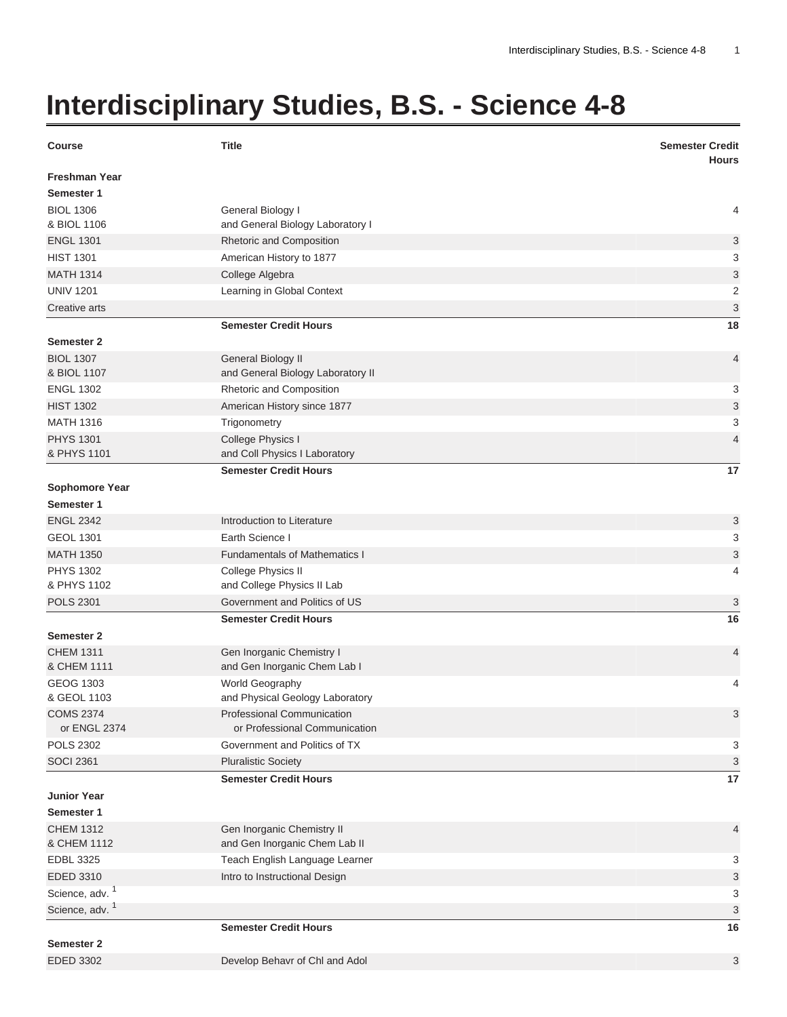## **Interdisciplinary Studies, B.S. - Science 4-8**

| <b>Course</b>                       | <b>Title</b>                                       | <b>Semester Credit</b><br><b>Hours</b> |
|-------------------------------------|----------------------------------------------------|----------------------------------------|
| <b>Freshman Year</b><br>Semester 1  |                                                    |                                        |
| <b>BIOL 1306</b>                    | General Biology I                                  | 4                                      |
| & BIOL 1106                         | and General Biology Laboratory I                   |                                        |
| <b>ENGL 1301</b>                    | Rhetoric and Composition                           | 3                                      |
| <b>HIST 1301</b>                    | American History to 1877                           | 3                                      |
| <b>MATH 1314</b>                    | College Algebra                                    | 3                                      |
| <b>UNIV 1201</b>                    | Learning in Global Context                         | $\overline{2}$                         |
| Creative arts                       |                                                    | $\ensuremath{\mathsf{3}}$              |
|                                     | <b>Semester Credit Hours</b>                       | 18                                     |
| <b>Semester 2</b>                   |                                                    |                                        |
| <b>BIOL 1307</b>                    | General Biology II                                 | $\overline{4}$                         |
| & BIOL 1107                         | and General Biology Laboratory II                  |                                        |
| <b>ENGL 1302</b>                    | Rhetoric and Composition                           | 3                                      |
| <b>HIST 1302</b>                    | American History since 1877                        | $\ensuremath{\mathsf{3}}$              |
| <b>MATH 1316</b>                    | Trigonometry                                       | 3                                      |
| <b>PHYS 1301</b>                    | College Physics I                                  | $\overline{4}$                         |
| & PHYS 1101                         | and Coll Physics I Laboratory                      |                                        |
|                                     | <b>Semester Credit Hours</b>                       | 17                                     |
| <b>Sophomore Year</b><br>Semester 1 |                                                    |                                        |
| <b>ENGL 2342</b>                    | Introduction to Literature                         |                                        |
| <b>GEOL 1301</b>                    | Earth Science I                                    | 3<br>3                                 |
| <b>MATH 1350</b>                    | <b>Fundamentals of Mathematics I</b>               | 3                                      |
| <b>PHYS 1302</b>                    |                                                    | 4                                      |
| & PHYS 1102                         | College Physics II<br>and College Physics II Lab   |                                        |
| <b>POLS 2301</b>                    | Government and Politics of US                      | 3                                      |
|                                     | <b>Semester Credit Hours</b>                       | 16                                     |
| <b>Semester 2</b>                   |                                                    |                                        |
| <b>CHEM 1311</b>                    | Gen Inorganic Chemistry I                          | $\overline{4}$                         |
| & CHEM 1111                         | and Gen Inorganic Chem Lab I                       |                                        |
| <b>GEOG 1303</b><br>& GEOL 1103     | World Geography<br>and Physical Geology Laboratory | 4                                      |
| <b>COMS 2374</b>                    | Professional Communication                         | 3                                      |
| or ENGL 2374                        | or Professional Communication                      |                                        |
| <b>POLS 2302</b>                    | Government and Politics of TX                      | 3                                      |
| <b>SOCI 2361</b>                    | <b>Pluralistic Society</b>                         | 3                                      |
|                                     | <b>Semester Credit Hours</b>                       | 17                                     |
| <b>Junior Year</b>                  |                                                    |                                        |
| Semester 1                          |                                                    |                                        |
| <b>CHEM 1312</b>                    | Gen Inorganic Chemistry II                         | 4                                      |
| & CHEM 1112                         | and Gen Inorganic Chem Lab II                      |                                        |
| EDBL 3325                           | Teach English Language Learner                     | 3                                      |
| EDED 3310                           | Intro to Instructional Design                      | 3                                      |
| Science, adv. <sup>1</sup>          |                                                    | 3                                      |
| Science, adv. <sup>1</sup>          |                                                    | 3                                      |
|                                     | <b>Semester Credit Hours</b>                       | 16                                     |
| <b>Semester 2</b>                   |                                                    |                                        |
| <b>EDED 3302</b>                    | Develop Behavr of Chl and Adol                     | 3                                      |